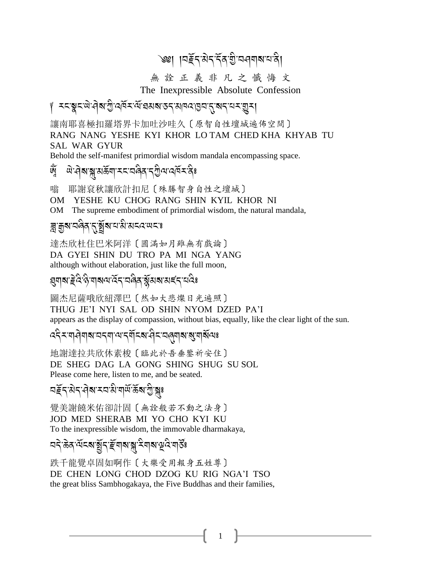৩খ। ।নইনউনন্দৰত অননাম নৰী

無詮正義非凡之懺悔文

The Inexpressible Absolute Confession

৾৾ ৼৼৠৼড়৻৸ৠ৶য়৽ঀ৻ৼ৻ড়৻য়৻৸য়৽৸৶৽৸৸৸ৼঀৗ৵৻৸

讓南耶喜極扣羅塔界卡加吐沙哇久〔原智自性壇城遍佈空間〕 RANG NANG YESHE KYI KHOR LOTAM CHED KHA KHYAB TU **SAL WAR GYUR** 

Behold the self-manifest primordial wisdom mandala encompassing space.

#### Ñ ঐ`ঀয়ৠয়ঌয়৸ৼৼৼঀড়ৼ৻য়ৢ৻৸৻৸ড়ৼৼড়

耶謝袞秋讓欣計扣尼〔殊勝智身自性之壇城〕 嗡

OM YESHE KU CHOG RANG SHIN KYIL KHOR NI

OM The supreme embodiment of primordial wisdom, the natural mandala,

#### <u>ᡜ᠋᠊</u>ᡜᢩ෧ᡰᠴᢙᡇᡃ*ᡃ*ᢓᡷᡧᢣᠽᡧᢋᢊᢣ

達杰欣杜住巴米阿洋〔圓滿如月雖無有戲論〕 DA GYEI SHIN DU TRO PA MI NGA YANG although without elaboration, just like the full moon,

য়য়**৸**ৼ৻ঽড়৻য়৾য়৸৻৸৻ৼৼ৻ৼ৸ড়৻ৼ৻ৼ৻৸৻৸৻৸৻৸৻

圖杰尼薩哦欣紐澤巴〔然如大悲燦日光遍照〕 THUG JE'I NYI SAL OD SHIN NYOM DZED PA'I appears as the display of compassion, without bias, equally, like the clear light of the sun.

द्दैर गतेगबाद्य वर्णयाद्याद्वार ने व्यवसाया बुग्याद्य त्य

地謝達拉共欣休素梭〔臨此於吾垂鑒祈安住〕 DE SHEG DAG LA GONG SHING SHUG SU SOL Please come here, listen to me, and be seated.

# <u>বৰ্হু</u>বৰ্ষব্ৰৰ মাৰ্য মন্ত্ৰী ৰাখি উৰিঃ

覺美謝饒米佑卻計固〔無詮般若不動之法身〕 JOD MED SHERAB MI YO CHO KYI KU To the inexpressible wisdom, the immovable dharmakaya,

跌千龍覺卓固如啊作〔大樂受用報身五姓尊〕 DE CHEN LONG CHOD DZOG KU RIG NGA'I TSO the great bliss Sambhogakaya, the Five Buddhas and their families,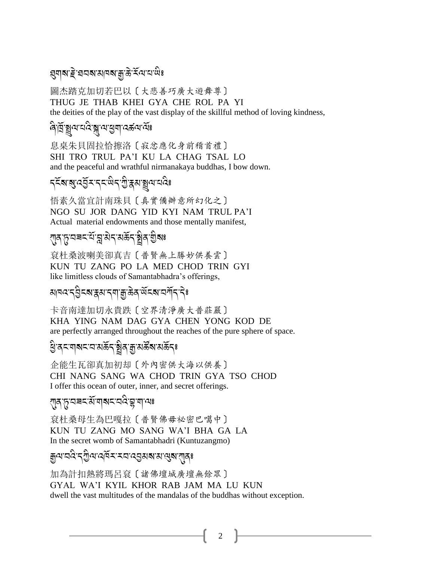#### য়য়৶৳য়য়ৼ৸৸৸৶য়৾ৼৢৼ৻৸৸৻

圖杰踏克加切若巴以〔大悲善巧廣大遊舞尊〕 THUG JE THAB KHEI GYA CHE ROL PA YI the deities of the play of the vast display of the skillful method of loving kindness,

ৰি,ট্ৰান্থ্ৰব্যব্যৰ স্থাপৰ প্ৰৱেশ ব্য<mark>ৰ</mark>

息桌朱貝固拉恰擦洛〔寂忿應化身前稽首禮〕 SHI TRO TRUL PA'I KU LA CHAG TSAL LO and the peaceful and wrathful nirmanakaya buddhas, I bow down.

# ঽ৾ৼ৶য়৾৻ৼঀৼ৸ৼ৻ড়৻৸৻৸ঀৗৼঀৼঢ়৻ড়৻৸ৼ৻ড়

悟素久當官計南珠貝〔真實備辦意所幻化之〕 NGO SU JOR DANG YID KYI NAM TRUL PA'I Actual material endowments and those mentally manifest,

#### <sub></sub>ग़ॺफ़ॖॱय़ॿॸॱय़ऀॱय़ॢऄॸॱॺॐॸॱ<u>ৡ</u>ऻॺॱॼॖॆॺ<mark>ॾ</mark>

袞杜桑波喇美卻真吉〔普賢無上勝妙供養雲〕 KUN TU ZANG PO LA MED CHOD TRIN GYI like limitless clouds of Samantabhadra's offerings,

য়<sub>ঀ</sub>৵ৼঀ৾ৢৼয়ৼয়ৼঀঢ়ড়ড়ড়ৼড়ৼড়ৼঢ়ৼ৻ৼ

卡音南達加切永貴跌〔空界清淨廣大普莊嚴〕 KHA YING NAM DAG GYA CHEN YONG KOD DE are perfectly arranged throughout the reaches of the pure sphere of space.

## *ॷॆ*ॱॺॸॱॺॺॸॱॺॱॺऄॕॸॱ<u>ৡ</u>ऻॺॱक़ॗॱॺऄॕ**ॺ**ॱॺऄॕॸ॰

企能生瓦卻真加初却〔外內密供大海以供養〕 CHI NANG SANG WA CHOD TRIN GYA TSO CHOD I offer this ocean of outer, inner, and secret offerings.

#### য়৸৸ঢ়ৢ<sup>৻</sup>য়য়ৼ৾য়৻য়৾৶ৼ৻য়ড়৻য়য়৻

衰杜桑母生為巴嘎拉〔普賢佛毋祕密巴噶中〕 KUN TU ZANG MO SANG WA'I BHA GA LA In the secret womb of Samantabhadri (Kuntuzangmo)

# য়৾৸য়ড়ৼ৸ঀৢ৸ৼঀৼৼৼৼৼৼঀৗৼঀৗৼঀৼ

加為計扣熱將瑪呂袞〔諸佛壇城廣壇無餘眾〕 GYAL WA'I KYIL KHOR RAB JAM MA LU KUN dwell the vast multitudes of the mandalas of the buddhas without exception.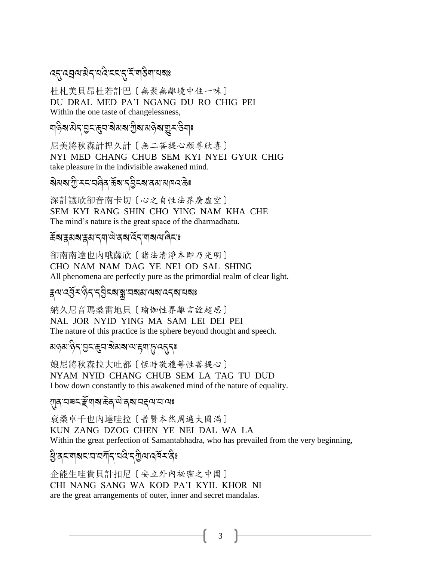# ෬෫෦෬ඁ෪෬෦෪෪෮෫෮෮෮෮෮෮෮෪෮෪෮෪෮෪෮෮෮෮

杜札美貝昂杜若計巴〔無聚無離境中住一味〕 DU DRAL MED PA'I NGANG DU RO CHIG PEI Within the one taste of changelessness,

### য়ৡ৶য়ৼঀৼঀৼৼঀয়৻৸৸৸৸৸৸৸৸৸৸

尼美將秋森計捏久計〔無二菩提心願尊欣喜〕 NYI MED CHANG CHUB SEM KYI NYEI GYUR CHIG take pleasure in the indivisible awakened mind.

#### 

深計讓欣卻音南卡切〔心之自性法界廣虛空〕 SEM KYI RANG SHIN CHO YING NAM KHA CHE The mind's nature is the great space of the dharmadhatu.

#### 

卻南南達也內哦薩欣〔諸法清淨本即乃光明〕 CHO NAM NAM DAG YE NEI OD SAL SHING All phenomena are perfectly pure as the primordial realm of clear light.

# ङ्गयः स्तुतः स्तुतः ।<br>इत्यादसुत्रः कुतः त्रु द्रशाञ्चात्रात्रयात्रात्राधात्राः

納久尼音瑪桑雷地貝〔瑜伽性界離言詮超思〕 NAL JOR NYID YING MA SAM LEI DEI PEI The nature of this practice is the sphere beyond thought and speech.

#### *য়ড়য়<sup>৻</sup>*∂৲ॱॖॾॱড়ৢয়<sup>৻</sup>য়য়য়ৼ৻য়ৼয়৸ঢ়ৢ<sup>৻</sup>ঽঀৣঀ৽

娘尼將秋森拉大叶都〔恆時敬禮等性菩提心〕 NYAM NYID CHANG CHUB SEM LA TAG TU DUD I bow down constantly to this awakened mind of the nature of equality.

#### ৻য়৸৻<u>৸ড়ৼড়৻</u>৸৶ড়ঀ৻ড়৻ড়৻৸৸ৼ৸৽

袞桑卓千也内達哇拉〔普賢本然周遍大圓滿〕 KUN ZANG DZOG CHEN YE NEI DAL WA LA Within the great perfection of Samantabhadra, who has prevailed from the very beginning,

# <u> ध</u>ुःदद्भाराद्यादमॅद्रद्भविषयिष्ट्रं पुरे

企能生哇貴貝計扣尼〔安立外內祕密之中圍〕 CHI NANG SANG WA KOD PA'I KYIL KHOR NI are the great arrangements of outer, inner and secret mandalas.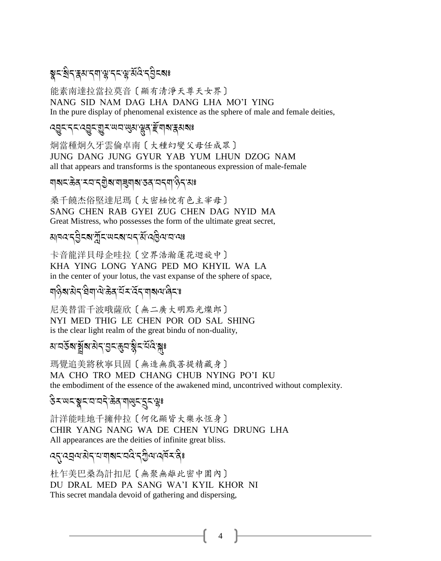# बर्धन क्षय नया क्षेत्र र क्षेत्र पश्चिद्र अ

能素南達拉當拉莫音〔顯有清淨天尊天女界〕 NANG SID NAM DAG LHA DANG LHA MO'I YING In the pure display of phenomenal existence as the sphere of male and female deities,

#### *෬*ॖॸॗॸॱॸड़फ़ॎॷॸॱॹॴख़ॴऄॳॾॎॖॳॾख़

炯當種炯久牙雲倫卓南〔大種幻變父母任成眾〕 JUNG DANG JUNG GYUR YAB YUM LHUN DZOG NAM all that appears and transforms is the spontaneous expression of male-female

#### য়য়ৼৼড়ৠৼয়ৼঢ়৻ড়৸ৼঢ়ড়৸৸৸৸৸৸

桑千饒杰俗堅達尼瑪〔大密極悅有色主宰母〕 SANG CHEN RAB GYEI ZUG CHEN DAG NYID MA Great Mistress, who possesses the form of the ultimate great secret,

#### য়<sub>ঀ</sub>৵৴ঀৣ৴৶য়ৣ৾৴<sub>৽</sub>৻৸ৼ৶ৼ৾৴ঀৣ৻৸ড়ৢ৸৻

卡音龍洋貝母企哇拉〔空界浩瀚蓮花迴旋中〕 KHA YING LONG YANG PED MO KHYIL WA LA in the center of your lotus, the vast expanse of the sphere of space,

## <u></u>ॺऻढ़ऄॳऄड़ॱख़ऀॺॱऄॱऄऄॱय़ॕड़ॱॷॺॴख़ऄ

尼美替雷千波哦薩欣〔無二廣大明點光燦郎〕 NYI MED THIG LE CHEN POR OD SAL SHING is the clear light realm of the great bindu of non-duality,

# য়ৼঽঽ৶য়৸ৼঀৼঀৼৼঀ৻৸ৼ৸ৼ

瑪覺追美將秋寧貝固〔無造無戲菩提精藏身〕 MA CHO TRO MED CHANG CHUB NYING PO'I KU the embodiment of the essence of the awakened mind, uncontrived without complexity.

## ङे राषदञ्जूदायायदे ळेवाणुसा<u>द</u>् दाख्नुः

計洋能哇地千擁仲拉〔何化顯皆大樂永恆身〕 CHIR YANG NANG WA DE CHEN YUNG DRUNG LHA All appearances are the deities of infinite great bliss.

# *द*्रदयवासेन्दायाब्रह्मदक्ष्रियाव्यें संदेश

杜乍美巴桑為計扣尼〔無聚無離此密中圍內〕 DU DRAL MED PA SANG WA'I KYIL KHOR NI This secret mandala devoid of gathering and dispersing,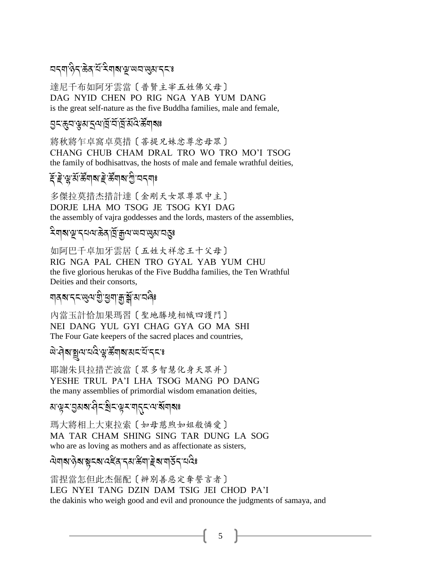# 

達尼千布如阿牙雲當〔普賢主宰五姓佛父母〕 DAG NYID CHEN PO RIG NGA YAB YUM DANG is the great self-nature as the five Buddha families, male and female,

#### <u>ସେ: 'ইল ক্ৰীইস্মাৰ্থ বুলি বুলি প্ৰয়ো</u>

將秋將乍卓窩卓莫措〔菩提兄妹忿尊忿母眾〕 CHANG CHUB CHAM DRAL TRO WO TRO MO'I TSOG the family of bodhisattvas, the hosts of male and female wrathful deities,

## *हें हे 'सु'र्से र्सें* बाब हे र्सेंबाब रो यनबा

多傑拉莫措杰措計達〔金剛天女眾尊眾中主〕 DORJE LHA MO TSOG JE TSOG KYI DAG the assembly of vajra goddesses and the lords, masters of the assemblies,

#### ঽয়য়ড়ৼঽয়ড়ৠড়য়ঢ়ঢ়ড়৸ৼঢ়ঀ

如阿巴千卓加牙雲居〔五姓大祥忿王十父母〕 RIG NGA PAL CHEN TRO GYAL YAB YUM CHU the five glorious herukas of the Five Buddha families, the Ten Wrathful Deities and their consorts,

# য়ঽয়ৼৼ৻য়৸য়ৣ৾য়৸য়ড়ৢয়ৢ৻৸ৼ

內當玉計恰加果瑪習〔聖地勝境相幟四護門〕 NEI DANG YUL GYI CHAG GYA GO MA SHI The Four Gate keepers of the sacred places and countries,

# <u>พิว</u>ุสรฐพนฉิญ สิตุสมสนัรระ

耶謝朱貝拉措芒波當〔眾多智慧化身天眾并〕 YESHE TRUL PA'I LHA TSOG MANG PO DANG the many assemblies of primordial wisdom emanation deities,

#### য়ড়ৼড়৶য়ৼঀৼ৾য়ৼড়ৼয়ঀৼ৻৸ৼয়য়য়৽

瑪大將相上大東拉索〔如母慈煦如姐般憐愛〕 MA TAR CHAM SHING SING TAR DUNG LA SOG who are as loving as mothers and as affectionate as sisters,

#### ঐঘাঝ'ঈঝ'ৠৢ৲ঝ'ঽ৾৾ঽ৻৴৸৻য়ৢ৸৻ড়ৢ৸৻৸৻৸৻৸৻৸৻

雷捏當怎但此杰倔配〔辨別善惡定奪誓言者〕 LEG NYEI TANG DZIN DAM TSIG JEI CHOD PA'I the dakinis who weigh good and evil and pronounce the judgments of samaya, and

 $\overline{5}$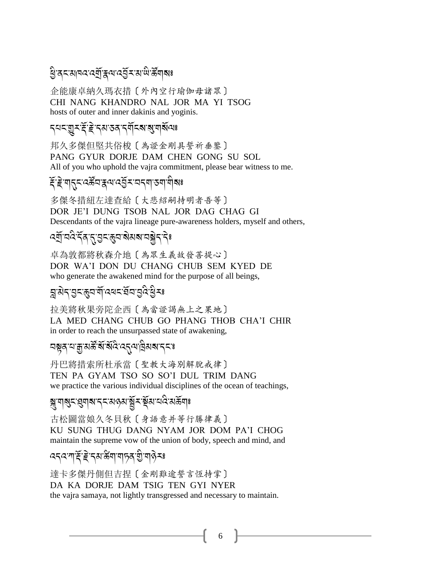# ধ্রির<মান্তর র্মুষ্ক অর্ত্ত ৰাজ্য উন্নারঃ

企能康卓納久瑪衣措〔外內空行瑜伽母諸眾〕 CHI NANG KHANDRO NAL JOR MA YI TSOG hosts of outer and inner dakinis and yoginis.

## *ॸॺॸ*ॱয়ৣ*ॸॱड़ॕॱॾॆॱॸ*ॺॱ<del>ऽ</del>ॺॱॸॺऀॸॎॺॱॺॗॱॺऻॺऀ॔ॺॎਃ

邦久多傑但堅共俗梭〔為證金剛具誓祈垂鑒〕 PANG GYUR DORJE DAM CHEN GONG SU SOL All of you who uphold the vajra commitment, please bear witness to me.

## ৼৼি শব্দৰেৰ্ক্ত ক্ৰম পৰ্ত্ত সম্বৰ্ণ পৰা মুখ

多傑冬措紐左達杳給〔大悲紹嗣持明者吾等〕 DOR JE'I DUNG TSOB NAL JOR DAG CHAG GI Descendants of the vajra lineage pure-awareness holders, myself and others,

#### *෬*য়ৢ৾<sup></sup>¤दिॱॸॣ॔ঽॱঀৣৼ৾ৼড়৸ৼৢ৶৶ৼ৸ড়ৗৢৼ৻ৼৢ৽

卓為敦都將秋森介地〔為眾生義故發菩提心〕 DOR WA'I DON DU CHANG CHUB SEM KYED DE who generate the awakened mind for the purpose of all beings,

# त्तुः सेन्'वुद्ध्यःबाद्ध्वद्र्भवः विद्युद्ध्वेदः

拉美將秋果旁陀企西〔為當證謁無上之果地〕 LA MED CHANG CHUB GO PHANG THOB CHA'I CHIR in order to reach the unsurpassed state of awakening,

## *ম*শ্নুশস্ক্রার্স্কর্ন্দ্রিশ্মির বিশেষিকা বিদে

丹巴將措索所杜承當〔聖教大海別解脫戒律〕 TEN PA GYAM TSO SO SO'I DUL TRIM DANG we practice the various individual disciplines of the ocean of teachings,

# য়ৢৼয়ঀড়ৼৼঀয়৸ৼঀৼ৻৸ড়৸ৼড়৻ৼ৻ড়৻৸ৼ৻৻

古松圖當娘久冬貝秋〔身語意并等行勝律義〕 KU SUNG THUG DANG NYAM JOR DOM PA'I CHOG maintain the supreme vow of the union of body, speech and mind, and

# *৽*ঽঽৼয়৾ৼৄঢ়য়৻ৼৢয়৻ড়ৢয়৻য়৻৸ড়ৼঢ়ড়৻৸ড়

達卡多傑丹側但吉捏〔金剛難逾誓言恆持掌〕 DA KA DORJE DAM TSIG TEN GYI NYER the vajra samaya, not lightly transgressed and necessary to maintain.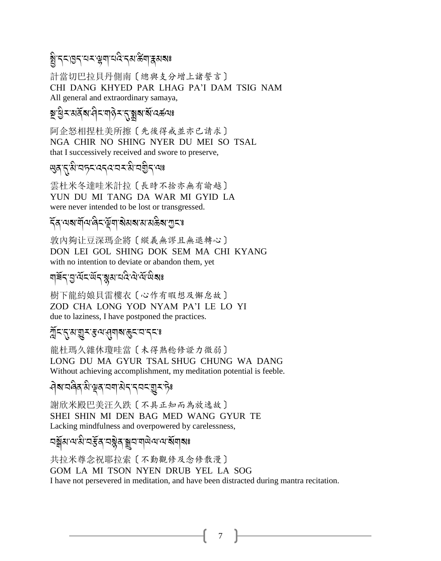# ষ্ট্ৰ'ন্ন'ন্ন'ম্ম'খুন্ম'ন্ন'ৰ্জনাম্নমৰাঃ

計當切巴拉貝丹側南〔總與支分增上諸誓言〕 CHI DANG KHYED PAR LHAG PA'I DAM TSIG NAM All general and extraordinary samaya,

# য়ৢ৾ৼৢ৾ঽৼয়ঽয়ৼৢ৾ঀৼয়৾ড়ৼৼৼয়য়য়ৼয়ৼড়৽৽

阿企怒相捏杜美所擦〔先後得戒並亦已請求〕 NGA CHIR NO SHING NYER DU MEI SO TSAL that I successively received and swore to preserve,

#### ৠঽ<sub>ॱ</sub>ॸॣॱয়৾<sup>৻</sup>য়ড়য়৻ঽৼঀৼয়য়য়ড়ঢ়ৼঀ

雲杜米冬達哇米計拉〔長時不捨亦無有諭越〕 YUN DU MI TANG DA WAR MI GYID LA were never intended to be lost or transgressed.

# 

敦内夠让豆深瑪企將〔縱義無謬且無退轉心〕 DON LEI GOL SHING DOK SEM MA CHI KYANG with no intention to deviate or abandon them, yet

### য়৾৾**য়৾**ৼড়ড়৻য়ৼ৻ড়৸ৼ৻ড়৸ড়ঢ়৸ৼ

樹下龍約娘貝雷樓衣〔心作有暇想及懈怠故〕 ZOD CHA LONG YOD NYAM PA'I LE LO YI due to laziness, I have postponed the practices.

#### ઌૣ૽ૼૼઽ<sub>૽ૼ</sub>૱<sub>૿ૣ૿</sub>ૹૼ૱૱૱૱૱૱૱૱

龍杜瑪久雜休瓊哇當〔未得熟稔修證力微弱〕 LONG DU MA GYUR TSAL SHUG CHUNG WA DANG Without achieving accomplishment, my meditation potential is feeble.

# *ଵୖ*ॺॱ¤ឲॆଵ<sup>ॱঽৢ</sup>ॱॷॺॱय़ॺॱऄॸॱॸय़ॸॱॼॗॸॱॸॆॖਃ

謝欣米殿巴美汪久跌〔不具正知而為放逸故〕 SHEI SHIN MI DEN BAG MED WANG GYUR TE Lacking mindfulness and overpowered by carelessness,

#### <u>ଘବ୍</u>ଲିୟ ભାଷା ପହୁଁ ଏ । ଏହା ଏହା ଏ ଏ ଏ । ଏହା ଏ

共拉米尊念祝耶拉索〔不勤觀修及念修散漫〕 GOM LA MI TSON NYEN DRUB YEL LA SOG I have not persevered in meditation, and have been distracted during mantra recitation.

 $\tau$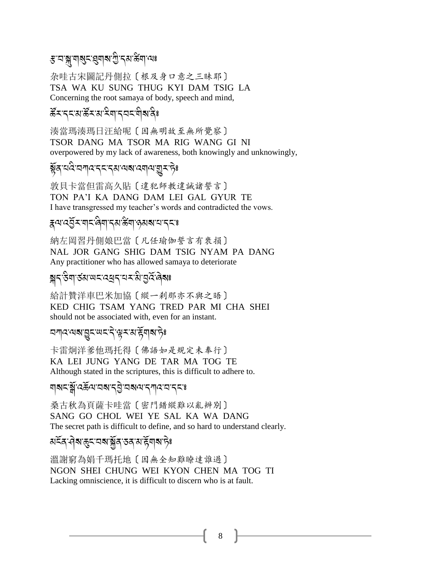# ৼৢৼয়ৠয়৶ৼৼঀয়৶য়ৢৼ৻৸ড়ৢৼ

杂哇古宋圖記丹側拉〔根及身口意之三昧耶〕 TSA WA KU SUNG THUG KYI DAM TSIG LA Concerning the root samaya of body, speech and mind,

# สัมรุมสัมมาลารสุสตร์

湊當瑪湊瑪日汪給呢〔因無明故至無所覺察〕 TSOR DANG MA TSOR MA RIG WANG GI NI overpowered by my lack of awareness, both knowingly and unknowingly,

#### য়ৢ৾ঽৼঢ়৻ৼ৸৶ৼৼৼৼৼঀ৸৻৸৸৻৸৻৸ৼঢ়৻

敦貝卡當但雷高久貼〔違犯師教違誠諸誓言〕 TON PA'I KA DANG DAM LEI GAL GYUR TE I have transgressed my teacher's words and contradicted the vows.

## ह्रवाद्धें स्वादलेवा दुसाक्षेत्रा लुराबा चाददाः

納左岡習丹側娘巴當〔凡任瑜伽誓言有衰損〕 NAL JOR GANG SHIG DAM TSIG NYAM PA DANG Any practitioner who has allowed samaya to deteriorate

## য়ঀড়য়৸ৼয়৸ৼৼৼৼ৻৸ৼয়৻ঀৼ৻

給計贊洋車巴米加協〔縱一刹那亦不與之晤〕 KED CHIG TSAM YANG TRED PAR MI CHA SHEI should not be associated with, even for an instant.

#### *মশ্ম*পেৰায়ুহ অহাইণ্ড্ৰহ মাৰ্টুশৰাচিঃ

卡雷炯洋爹他瑪托得〔佛語如是規定未奉行〕 KA LEI JUNG YANG DE TAR MA TOG TE Although stated in the scriptures, this is difficult to adhere to.

# য়য়ৼয়ৢ৾৽ঽড়ড়য়য়ৼঀড়ড়য়ৼঢ়ড়ড়৸ৼঀৼ৻ৼ

桑古秋為頁薩卡哇當〔密門錯縱難以亂辨別〕 SANG GO CHOL WEI YE SAL KA WA DANG The secret path is difficult to define, and so hard to understand clearly.

## য়ৼড়৸য়ৼড়ৼৼ৸য়৾ৠঀৼঽঀ৻য়৻ৼৄয়৶৻ড়

溫謝窮為娟千瑪托地〔因無全知難瞭達誰過〕 NGON SHEI CHUNG WEI KYON CHEN MA TOG TI Lacking omniscience, it is difficult to discern who is at fault.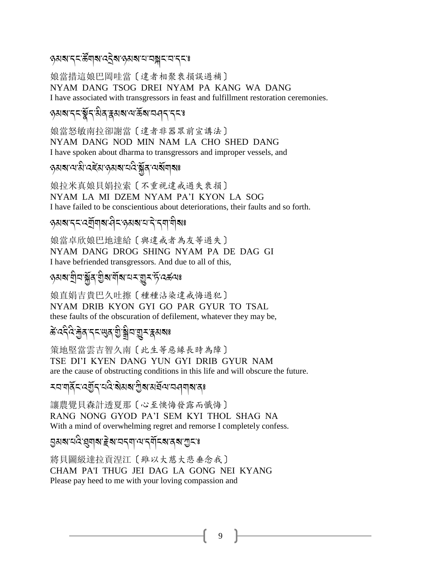# \*3 ?-.%-5S \$?-:S J?-\*3?-0-2{%-2-.%-;

娘當措這娘巴岡哇當〔違者相聚衰損誤過補〕 NYAM DANG TSOG DREI NYAM PA KANG WA DANG I have associated with transgressors in feast and fulfillment restoration ceremonies.

#### ওৰাম'ন্মস্কুঁন্'মীন্'ক্লমৰা'ৰ্মাক্লৰামন্দ্ৰা A

娘當怒敏南拉卻謝當〔違者非器眾前宣講法〕 NYAM DANG NOD MIN NAM LA CHO SHED DANG I have spoken about dharma to transgressors and improper vessels, and

# কৃমৰা নাৱী বেইমাকৃমৰা নবি স্কুঁৰ নাৰ্যালৰঃ

娘拉米真娘貝娟拉索〔不重視違戒過失衰損〕 NYAM LA MI DZEM NYAM PA'I KYON LA SOG I have failed to be conscientious about deteriorations, their faults and so forth.

# ক্সৰাম ব্যান কৰা হয়।<br>কৃষ্ণা ব্যান কৰা বিশিষ্টি কৰা হয়।

娘當卓欣娘巴地達給〔與違戒者為友等過失〕 NYAM DANG DROG SHING NYAM PA DE DAG GI I have befriended transgressors. And due to all of this,

# ন্তমৰাত্মীবাৰ্স্ক্ৰবাৰীৰ অসম আৰু দিন্তি বৰ্জনাঃ

娘直娟吉貴巴久吐擦〔種種沾染違戒悔過犯〕 NYAM DRIB KYON GYI GO PAR GYUR TO TSAL these faults of the obscuration of defilement, whatever they may be,

#### ू<br>संदद्देश्क्वेदाद्दासुदश्चिद्धासुराह्य अ .<br>.

策地堅當雲吉智久南〔此生等惡緣長時為障〕 TSE DI'I KYEN DANG YUN GYI DRIB GYUR NAM are the cause of obstructing conditions in this life and will obscure the future.

# <2-\$/R%-:IR.-0: A-? J3?-G A?-3,R=-2>\$?-/;

讓農覺貝森計透夏那〔心至懊悔發露而懺悔〕 RANG NONG GYOD PA'I SEM KYI THOL SHAG NA With a mind of overwhelming regret and remorse I completely confess.

# .<br>Sপৰ প্ৰতি বিভিন্ন স্থাপনৰ প্ৰতিষ্ঠা প্ৰতিষ্ক

將貝圖級達拉貢涅江 〔雖以大慈大悲垂念我〕 CHAM PA'I THUG JEI DAG LA GONG NEI KYANG Please pay heed to me with your loving compassion and

9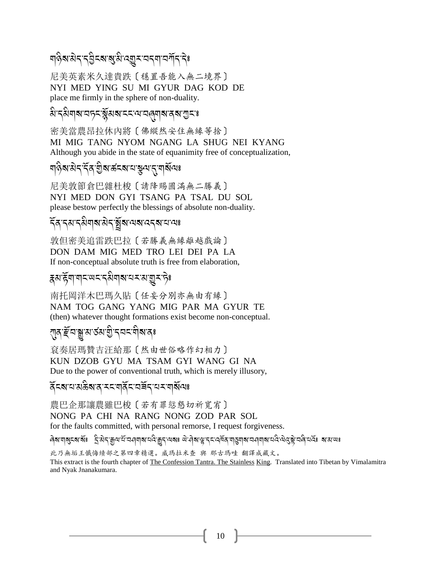# য়৾**ৡ৾**য়৾৻য়৾ৼৼড়ৗৢৼয়ৼয়৻য়ৢৼ৻ড়ৼৼ৸ৼ৸ড়ৼঢ়ৼ

尼美英素米久達貴跌〔穩置吾能入無二境界〕 NYI MED YING SU MI GYUR DAG KOD DE place me firmly in the sphere of non-duality.

### มิรุมิตุสรสรรฐัมสรราช อุดตุสรรณ ตูระ

密美當農昂拉休內將〔佛縱然安住無緣等捨〕 MI MIG TANG NYOM NGANG LA SHUG NEI KYANG Although you abide in the state of equanimity free of conceptualization,

#### য়৾**ৡ৾**য়৾৻য়৾ৼ৻ৼঀড়য়ৼড়৸ৼৼঢ়৻ড়৸ৼ

尼美敦節倉巴雜杜梭〔請降賜圓滿無二勝義〕 NYI MED DON GYI TSANG PA TSAL DU SOL please bestow perfectly the blessings of absolute non-duality.

### รัส รม รมิตส มิร <u>สั</u>ส ผส เวรส มานะ

敦但密美追雷跌巴拉〔若勝義無緣離越戲論〕 DON DAM MIG MED TRO LEI DEI PA LA If non-conceptual absolute truth is free from elaboration,

## ॾॺॱड़ॕॺॱॺड़ॎॱ<sup>ख़ड़</sup>ड़ऄॺऻ**ॺॱ**य़ॾॱॺॱॼॗॾॱॸॖॆਃ

南托岡洋木巴瑪久貼〔任妄分別亦無由有緣〕 NAM TOG GANG YANG MIG PAR MA GYUR TE (then) whatever thought formations exist become non-conceptual.

#### ৻য়৸*৾য়য়*য়য়ড়৻য়ড়ৢৗ৻৸৸৻৸৻৸

袞奏居瑪贊吉汪給那〔然由世俗略作幻相力〕 KUN DZOB GYU MA TSAM GYI WANG GI NA Due to the power of conventional truth, which is merely illusory,

# ঽৄৼ৶য়য়ড়ৠ৸ৼৼয়৾ৼঢ়ৼঢ়ৼঢ়ৼ৸ৼয়

農巴企那讓農雖巴梭〔若有罪愆懇切祈寬宥〕 NONG PA CHI NA RANG NONG ZOD PAR SOL for the faults committed, with personal remorse, I request forgiveness.

此乃無垢王懺悔績部之第四章精選。威瑪拉米查 與 那古瑪哇 翻譯成藏文。 This extract is the fourth chapter of The Confession Tantra. The Stainless King. Translated into Tibetan by Vimalamitra and Nyak Jnanakumara.

10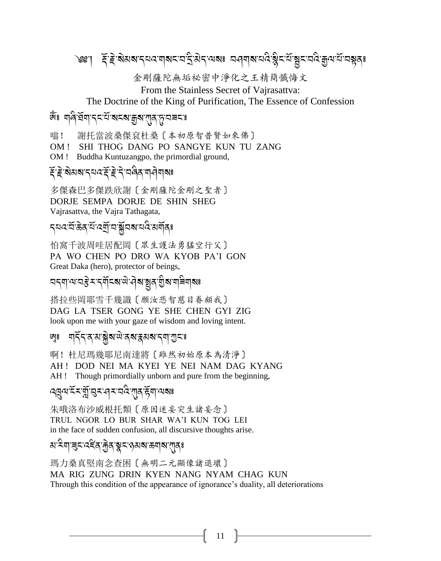৩৩፡| ই:ই:ঝমমান্মবাম্মবাম্রাই:মন্মেমঃ অপ্রামামবি:শ্লীবার্মান্ত্রীয়ার্মামাম্মুন্গ

#### 金剛薩陀無垢祕密中淨化之王精簡懺悔文

From the Stainless Secret of Vajrasattva: The Doctrine of the King of Purification, The Essence of Confession

#### জ্ঁঃ ঘৰি`ৰ্ঘমাৰ্হ যাঁৰাহৰাক্কুৰা'্যৰ্'ত্বৰহাঃ

謝托當波桑傑袞杜桑〔本初原智普賢如來佛〕 嗡!

OM! SHI THOG DANG PO SANGYE KUN TU ZANG

OM! Buddha Kuntuzangpo, the primordial ground,

#### *हें:हे:* शेअब दयद हें:हे:दे:यंबेद यानेयाबा

多傑森巴多傑跌欣謝〔金剛薩陀金剛之聖者〕 DORJE SEMPA DORJE DE SHIN SHEG Vajrasattva, the Vajra Tathagata,

#### *৲*ঘৰ বক্তিৰ যাঁৰ মুঁত্ৰ সম্ভাৱ সম্ভাৱিঃ

怕窩千波周哇居配岡〔眾生護法勇猛空行父〕 PA WO CHEN PO DRO WA KYOB PA'I GON Great Daka (hero), protector of beings,

# <u>¤</u>қषा: यः यङ्गे र- पूर्णे रक्षा अञ्चल अञ्चल अञ्चल अञ्चल अञ्चल

搭拉些岡耶雪千幾識〔願汝悲智慈目眷顧我〕 DAG LA TSER GONG YE SHE CHEN GYI ZIG look upon me with your gaze of wisdom and loving intent.

#### ঀ**ᡏඁ**ঀড়য়ৠয়ড়ড়৸ড়য়ৼঀঀ ស្ទេ

啊! 杜尼瑪幾耶尼南達將〔雖然初始原本為清淨〕 AH! DOD NEI MA KYEI YE NEI NAM DAG KYANG AH! Though primordially unborn and pure from the beginning,

# ঀঀৣঀৼৼয়ৣ৾৾ড়ৼঀৼয়ঽ৻য়৾ঀৼৄৣয়৾৸৶

朱哦洛布沙威根托類〔原因迷妄突生諸妄念〕 TRUL NGOR LO BUR SHAR WA'I KUN TOG LEI in the face of sudden confusion, all discursive thoughts arise.

# *য়<sup>੶</sup>*ঽয়<sup>੶</sup>য়ৼ৻৻ঽৼঽ৾৻য়ৢ৾ঀৼয়ৼ৻৻৽৸৶ৼ৽৸৸য়৸৸

瑪力桑真堅南念查困〔無明二元顯像諸退壞〕 MA RIG ZUNG DRIN KYEN NANG NYAM CHAG KUN Through this condition of the appearance of ignorance's duality, all deteriorations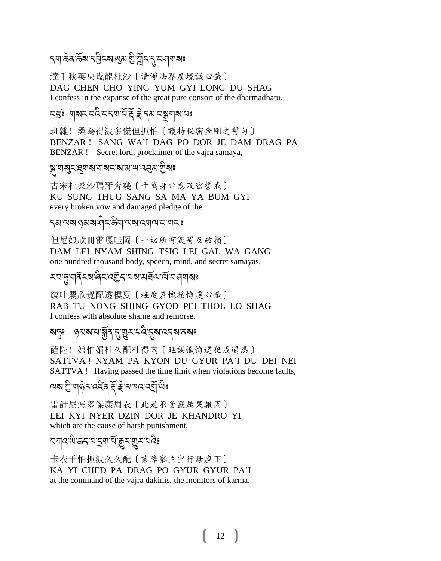# *৲*ঀ৾ ঌঽ৾ ঌয়ৼঽৣঽৼ৶য়৾য়য়ড়ড়ৣয়ৼৼ৻ৼঀয়৶

達千秋英央幾龍杜沙〔清淨法界廣境誠心懺〕 DAG CHEN CHO YING YUM GYI LONG DU SHAG I confess in the expanse of the great pure consort of the dharmadhatu.

## 

班雜!桑為得波多傑但抓怕〔護持秘密金剛之誓句〕 BENZAR! SANG WA'I DAG PO DOR JE DAM DRAG PA BENZAR ! Secret lord, proclaimer of the vajra samaya,

# য়ৢ<sup>৽</sup>ঀৠৼৼঀয়৸ৼঀয়ৼৼয়ৼ৸৻৻ৼঀড়৻৸৽

古宋杜桑沙瑪牙奔幾〔十萬身口意及密誓戒〕 KU SUNG THUG SANG SA MA YA BUM GYI every broken vow and damaged pledge of the

#### *ন্ম* অৰ্জ্যৰ দীনস্ক্ৰী অৰ্জন অৰ্জন শ

但尼娘欣冊雷嘎哇岡〔一切所有毀誓及破損〕 DAM LEI NYAM SHING TSIG LEI GAL WA GANG one hundred thousand body, speech, mind, and secret samayas,

#### 

饒吐農欣覺配透樓夏〔極度羞愧後悔虔心懺〕 RAB TU NONG SHING GYOD PEI THOL LO SHAG I confess with absolute shame and remorse.

#### <u>য়ঢ়৽৾</u>ড়ঀয়ৼ৻য়ৣ৾ঀৼ৻ড়৸ৼ৻ড়৻৸৻৸৸৸৽

薩陀! 娘怕娟杜久配杜得内〔延誤懺悔違犯成過患〕 SATTVA! NYAM PA KYON DU GYUR PA'I DU DEI NEI SATTVA ! Having passed the time limit when violations become faults,

**য়য়ৼঢ়ৢ৾**ড়ড়ড়ৼ৻ড়ৼ৻ড়৻ড়ৼ৻ড়ঢ়ড়৻

雷計尼怎多傑康周衣〔此是承受嚴厲果報因〕 LEI KYI NYER DZIN DOR JE KHANDRO YI which are the cause of harsh punishment,

# <u>ব</u>শ্বজ্ঞজন্ম ব্ৰশ্বজ্ঞান প্ৰকাশ

卡衣千怕抓波久久配〔業障察主空行母座下〕 KA YI CHED PA DRAG PO GYUR GYUR PA'I at the command of the vajra dakinis, the monitors of karma,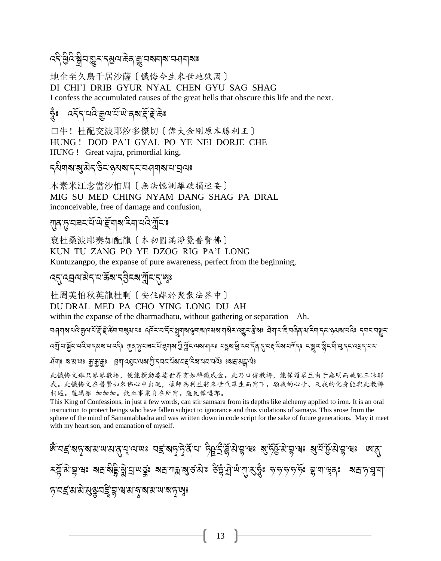# *द*द्देश्चेद्रञ्जेव:गुरू:द्युत्प:ढेव:क्व:वश्यावाद्य वयावाइ

地企至久鳥千居沙薩〔懺悔今生來世地獄因〕 DI CHI'I DRIB GYUR NYAL CHEN GYU SAG SHAG I confess the accumulated causes of the great hells that obscure this life and the next.

# *ষ্টঃ হে*ইঁহাঘহিল্লবাহীজ্ঞাপ্ৰৰাষ্ট্ৰীষ্টঃ

口牛! 杜配交波耶汐多傑切〔偉大金剛原本勝利王〕 HUNG! DOD PA'I GYAL PO YE NEI DORJE CHE HUNG ! Great vajra, primordial king,

#### *ॸ*ऄॺऻ**য়ॱয়ৢ**ॱऄॸॱऀऄॸॱॶॳ**ॺॱ**ৼৼৼড়ঀয়**৶**ৼ৸ড়

木素米江念當沙怕周〔無法憶測離破損迷妄〕 MIG SU MED CHING NYAM DANG SHAG PA DRAL inconceivable, free of damage and confusion,

# *रा*क्'ह्रायबदायें से हेलाबादेया यदि यूँदि इ

袞杜桑波耶奏如配龍〔本初圓滿淨覺普賢佛〕 KUN TU ZANG PO YE DZOG RIG PA'I LONG Kuntuzangpo, the expanse of pure awareness, perfect from the beginning,

## *ঽ*ड़ॱঽয়৵য়৾ৼৼঢ়ৼৄড়৸ৼ৻ৼঢ়ড়ৼ

杜周美怕秋英龍杜啊〔安住離於聚散法界中〕 DU DRAL MED PA CHO YING LONG DU AH within the expanse of the dharmadhatu, without gathering or separation—Ah.

বৰ্ণৰাৰে,খিত্ৰ,কান্ত্ৰ,হূঞ্জুৱাৱাৰীয়াৰে পৰুত্ৰবোৰ্ট্ৰৰাৰ উনিৰ্বাৰৰ আৰু প্ৰতি প্ৰতি আৰু প্ৰতি প্ৰতি প্ৰতি প্ৰত <u> ৫য়</u>৾.অৠত প্ৰয়াৰ্থ কৰে পৰি ১৯২৯ আৰু ১৯২৯ কৰি বিভিন্ন পৰি মাৰী কৰি পৰি এক পৰি ১৯২৯ কৰি পৰি ১৯২৯ কৰি পৰি ১৯২৯ কৰ

<u>ধ্</u>যাঃ ৰামাত্ৰঃ শ্ৰীয়ীয়িঃ ৱিনাওৰিদ্যালয়, এনাডু প্ৰস্তুত্ব প্ৰয়োগ প্ৰয়োগ প্ৰয়োগ

此懺悔文雖只寥寥數語,便能攪動婆娑世界有如轉鐵成金。此乃口傳教誨,能保護眾生由于無明而破犯三昧耶 戒。此懺悔文在普賢如來佛心中出現,蓮師為利益將來世代眾生而寫下。願我的心子、及我的化身能與此教誨 相遇。薩瑪雅 加加加。飲血事業自在所寫。薩瓦懷嘎郎。

This King of Confessions, in just a few words, can stir samsara from its depths like alchemy applied to iron. It is an oral instruction to protect beings who have fallen subject to ignorance and thus violations of samaya. This arose from the sphere of the mind of Samantabhadra and was written down in code script for the sake of future generations. May it meet with my heart son, and emanation of myself.

জুতেই প্ৰদ্ৰাপ্ৰাপ্ৰাপ্ৰাপ্ৰাপ্ৰাপ্ৰাপ্ত পৰ্য প্ৰদূষ্টি পূৰ্বে প্ৰাপ্ত পূৰ্বে প্ৰাপ্ত পূৰ্বে প্ৰাপ্ত প্ৰাপ্ত প ম্ম্র্যিত্ন'স্নঃ মদ্রামীছ্রীয়ামাত্ম মদ্রাসামাম্যতারীঃ উন্নয়নীত্মণ্যামুদ্ধঃ দৃত্ত দৃষ্টঃ হ্রামান্দ্রনঃ মদ্রাদায়ুমা ঢ়ড়য়ৼৗৣয়ৣড়ড়ড়ৗৢৼঀৗৼঀৗ